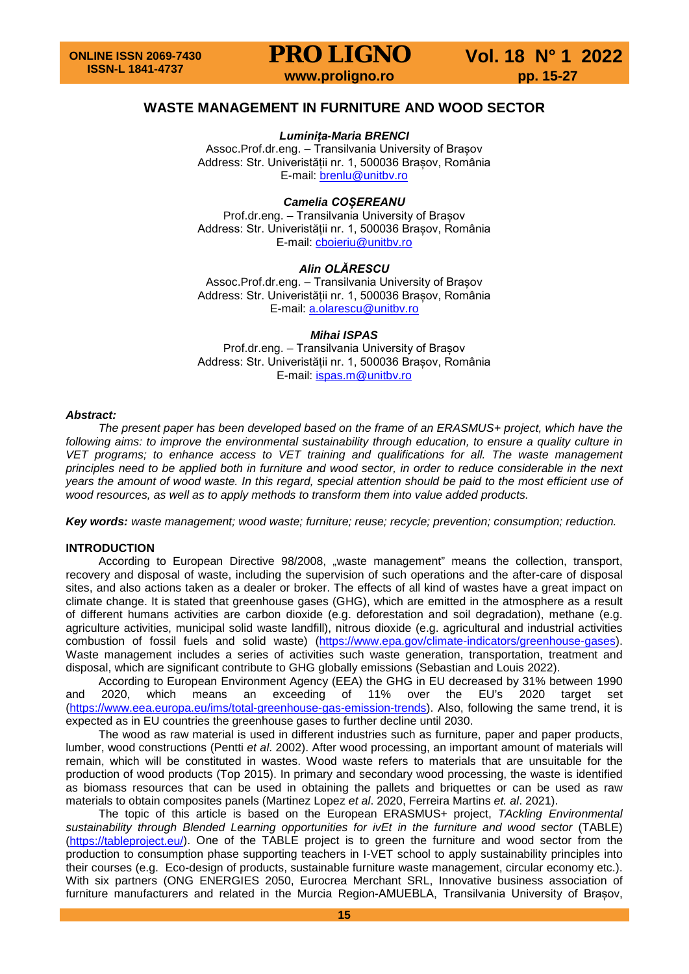## **WASTE MANAGEMENT IN FURNITURE AND WOOD SECTOR**

*Luminița-Maria BRENCI*

Assoc.Prof.dr.eng. – Transilvania University of Brașov Address: Str. Univeristății nr. 1, 500036 Brașov, România E-mail: [brenlu@unitbv.ro](mailto:brenlu@unitbv.ro)

## *Camelia COȘEREANU*

Prof.dr.eng. – Transilvania University of Brașov Address: Str. Univeristății nr. 1, 500036 Brașov, România E-mail: [cboieriu@unitbv.ro](mailto:cboieriu@unitbv.ro)

## *Alin OLĂRESCU*

Assoc.Prof.dr.eng. – Transilvania University of Brasov Address: Str. Univeristății nr. 1, 500036 Brașov, România E-mail: [a.olarescu@unitbv.ro](mailto:a.olarescu@unitbv.ro)

## *Mihai ISPAS*

Prof.dr.eng. – Transilvania University of Brașov Address: Str. Univeristății nr. 1, 500036 Brașov, România E-mail: [ispas.m@unitbv.ro](mailto:ispas.m@unitbv.ro)

### *Abstract:*

*The present paper has been developed based on the frame of an ERASMUS+ project, which have the*  following aims: to improve the environmental sustainability through education, to ensure a quality culture in *VET programs; to enhance access to VET training and qualifications for all. The waste management principles need to be applied both in furniture and wood sector, in order to reduce considerable in the next years the amount of wood waste. In this regard, special attention should be paid to the most efficient use of wood resources, as well as to apply methods to transform them into value added products.* 

*Key words: waste management; wood waste; furniture; reuse; recycle; prevention; consumption; reduction.*

## **INTRODUCTION**

According to European Directive 98/2008, "waste management" means the collection, transport, recovery and disposal of waste, including the supervision of such operations and the after-care of disposal sites, and also actions taken as a dealer or broker. The effects of all kind of wastes have a great impact on climate change. It is stated that greenhouse gases (GHG), which are emitted in the atmosphere as a result of different humans activities are carbon dioxide (e.g. deforestation and soil degradation), methane (e.g. agriculture activities, municipal solid waste landfill), nitrous dioxide (e.g. agricultural and industrial activities combustion of fossil fuels and solid waste) [\(https://www.epa.gov/climate-indicators/greenhouse-gases\)](https://www.epa.gov/climate-indicators/greenhouse-gases). Waste management includes a series of activities such waste generation, transportation, treatment and disposal, which are significant contribute to GHG globally emissions (Sebastian and Louis 2022).

According to European Environment Agency (EEA) the GHG in EU decreased by 31% between 1990<br>2020, which means an exceeding of 11% over the EU's 2020 target set and 2020, which means an exceeding of 11% over the EU's [\(https://www.eea.europa.eu/ims/total-greenhouse-gas-emission-trends\)](https://www.eea.europa.eu/ims/total-greenhouse-gas-emission-trends). Also, following the same trend, it is expected as in EU countries the greenhouse gases to further decline until 2030.

The wood as raw material is used in different industries such as furniture, paper and paper products, lumber, wood constructions (Pentti *et al*. 2002). After wood processing, an important amount of materials will remain, which will be constituted in wastes. Wood waste refers to materials that are unsuitable for the production of wood products (Top 2015). In primary and secondary wood processing, the waste is identified as biomass resources that can be used in obtaining the pallets and briquettes or can be used as raw materials to obtain composites panels (Martinez Lopez *et al*. 2020, Ferreira Martins *et. al*. 2021).

The topic of this article is based on the European ERASMUS+ project, *TAckling Environmental sustainability through Blended Learning opportunities for ivEt in the furniture and wood sector* (TABLE) [\(https://tableproject.eu/\)](https://tableproject.eu/). One of the TABLE project is to green the furniture and wood sector from the production to consumption phase supporting teachers in I-VET school to apply sustainability principles into their courses (e.g. Eco-design of products, sustainable furniture waste management, circular economy etc.). With six partners (ONG ENERGIES 2050, Eurocrea Merchant SRL, Innovative business association of furniture manufacturers and related in the Murcia Region-AMUEBLA, Transilvania University of Brașov,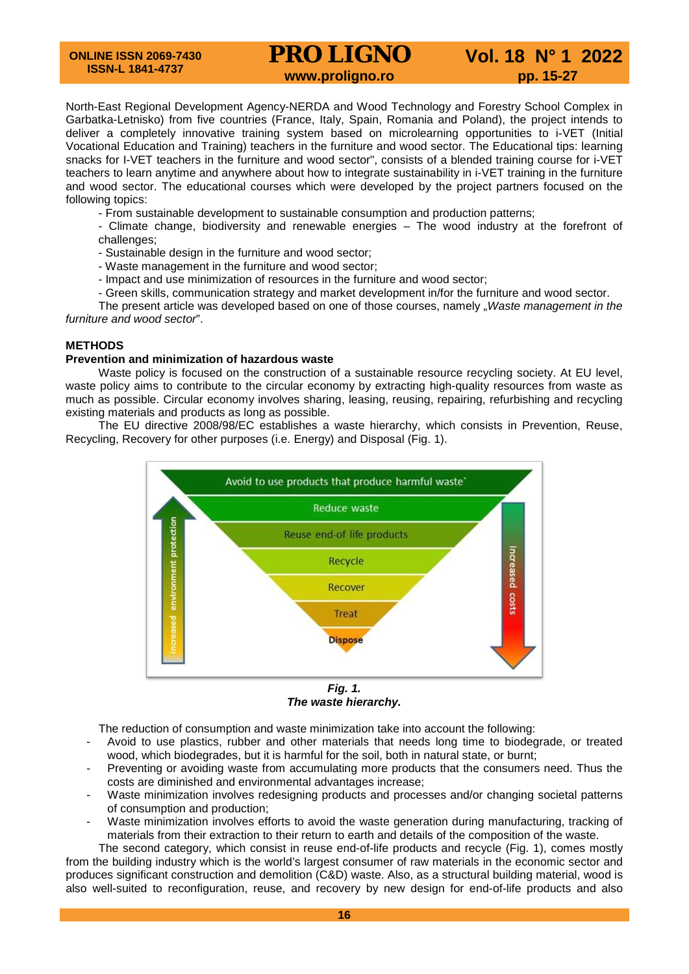**ONLINE ISSN 2069-7430 ISSN-L 1841-4737**

## **PRO LIGNO** Vol. 18 N° 1 2022<br>www.proligno.ro pp. 15-27

North-East Regional Development Agency-NERDA and Wood Technology and Forestry School Complex in Garbatka-Letnisko) from five countries (France, Italy, Spain, Romania and Poland), the project intends to deliver a completely innovative training system based on microlearning opportunities to i-VET (Initial Vocational Education and Training) teachers in the furniture and wood sector. The Educational tips: learning snacks for I-VET teachers in the furniture and wood sector", consists of a blended training course for i-VET teachers to learn anytime and anywhere about how to integrate sustainability in i-VET training in the furniture and wood sector. The educational courses which were developed by the project partners focused on the following topics:

- From sustainable development to sustainable consumption and production patterns;

- Climate change, biodiversity and renewable energies – The wood industry at the forefront of challenges;

- Sustainable design in the furniture and wood sector;
- Waste management in the furniture and wood sector;
- Impact and use minimization of resources in the furniture and wood sector;
- Green skills, communication strategy and market development in/for the furniture and wood sector.

The present article was developed based on one of those courses, namely "*Waste management in the furniture and wood sector*".

## **METHODS**

### **Prevention and minimization of hazardous waste**

Waste policy is focused on the construction of a sustainable resource recycling society. At EU level, waste policy aims to contribute to the circular economy by extracting high-quality resources from waste as much as possible. Circular economy involves sharing, leasing, reusing, repairing, refurbishing and recycling existing materials and products as long as possible.

The EU directive 2008/98/EC establishes a waste hierarchy, which consists in Prevention, Reuse, Recycling, Recovery for other purposes (i.e. Energy) and Disposal (Fig. 1).



*The waste hierarchy.*

The reduction of consumption and waste minimization take into account the following:

- Avoid to use plastics, rubber and other materials that needs long time to biodegrade, or treated wood, which biodegrades, but it is harmful for the soil, both in natural state, or burnt;
- Preventing or avoiding waste from accumulating more products that the consumers need. Thus the costs are diminished and environmental advantages increase;
- Waste minimization involves redesigning products and processes and/or changing societal patterns of consumption and production;
- Waste minimization involves efforts to avoid the waste generation during manufacturing, tracking of materials from their extraction to their return to earth and details of the composition of the waste.

The second category, which consist in reuse end-of-life products and recycle (Fig. 1), comes mostly from the building industry which is the world's largest consumer of raw materials in the economic sector and produces significant construction and demolition (C&D) waste. Also, as a structural building material, wood is also well-suited to reconfiguration, reuse, and recovery by new design for end-of-life products and also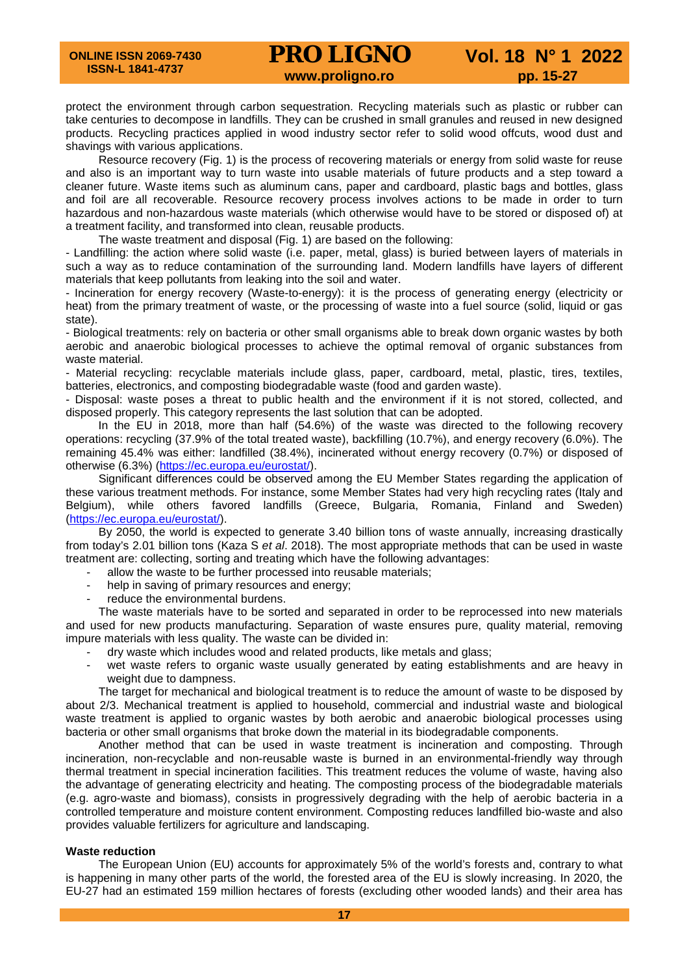protect the environment through carbon sequestration. Recycling materials such as plastic or rubber can take centuries to decompose in landfills. They can be crushed in small granules and reused in new designed products. Recycling practices applied in wood industry sector refer to solid wood offcuts, wood dust and shavings with various applications.

Resource recovery (Fig. 1) is the process of recovering materials or energy from solid waste for reuse and also is an important way to turn waste into usable materials of future products and a step toward a cleaner future. Waste items such as aluminum cans, paper and cardboard, plastic bags and bottles, glass and foil are all recoverable. Resource recovery process involves actions to be made in order to turn hazardous and non-hazardous waste materials (which otherwise would have to be stored or disposed of) at a treatment facility, and transformed into clean, reusable products.

The waste treatment and disposal (Fig. 1) are based on the following:

- Landfilling: the action where solid waste (i.e. paper, metal, glass) is buried between layers of materials in such a way as to reduce contamination of the surrounding land. Modern landfills have layers of different materials that keep pollutants from leaking into the soil and water.

- Incineration for energy recovery (Waste-to-energy): it is the process of generating energy (electricity or heat) from the primary treatment of waste, or the processing of waste into a fuel source (solid, liquid or gas state).

- Biological treatments: rely on bacteria or other small organisms able to break down organic wastes by both aerobic and anaerobic biological processes to achieve the optimal removal of organic substances from waste material.

- Material recycling: recyclable materials include glass, paper, cardboard, metal, plastic, tires, textiles, batteries, electronics, and composting biodegradable waste (food and garden waste).

- Disposal: waste poses a threat to public health and the environment if it is not stored, collected, and disposed properly. This category represents the last solution that can be adopted.

In the EU in 2018, more than half (54.6%) of the waste was directed to the following recovery operations: recycling (37.9% of the total treated waste), backfilling (10.7%), and energy recovery (6.0%). The remaining 45.4% was either: landfilled (38.4%), incinerated without energy recovery (0.7%) or disposed of otherwise (6.3%) [\(https://ec.europa.eu/eurostat/\)](https://ec.europa.eu/eurostat/).

Significant differences could be observed among the EU Member States regarding the application of these various treatment methods. For instance, some Member States had very high recycling rates (Italy and Belgium), while others favored landfills (Greece, Bulgaria, Romania, Finland and Sweden) [\(https://ec.europa.eu/eurostat/\)](https://ec.europa.eu/eurostat/).

By 2050, the world is expected to generate 3.40 billion tons of waste annually, increasing drastically from today's 2.01 billion tons (Kaza S *et al*. 2018). The most appropriate methods that can be used in waste treatment are: collecting, sorting and treating which have the following advantages:

- allow the waste to be further processed into reusable materials;
- help in saving of primary resources and energy;
- reduce the environmental burdens.

The waste materials have to be sorted and separated in order to be reprocessed into new materials and used for new products manufacturing. Separation of waste ensures pure, quality material, removing impure materials with less quality. The waste can be divided in:

- dry waste which includes wood and related products, like metals and glass;
- wet waste refers to organic waste usually generated by eating establishments and are heavy in weight due to dampness.

The target for mechanical and biological treatment is to reduce the amount of waste to be disposed by about 2/3. Mechanical treatment is applied to household, commercial and industrial waste and biological waste treatment is applied to organic wastes by both aerobic and anaerobic biological processes using bacteria or other small organisms that broke down the material in its biodegradable components.

Another method that can be used in waste treatment is incineration and composting. Through incineration, non-recyclable and non-reusable waste is burned in an environmental-friendly way through thermal treatment in special incineration facilities. This treatment reduces the volume of waste, having also the advantage of generating electricity and heating. The composting process of the biodegradable materials (e.g. agro-waste and biomass), consists in progressively degrading with the help of aerobic bacteria in a controlled temperature and moisture content environment. Composting reduces landfilled bio-waste and also provides valuable fertilizers for agriculture and landscaping.

## **Waste reduction**

The European Union (EU) accounts for approximately 5% of the world's forests and, contrary to what is happening in many other parts of the world, the forested area of the EU is slowly increasing. In 2020, the EU-27 had an estimated 159 million hectares of forests (excluding other wooded lands) and their area has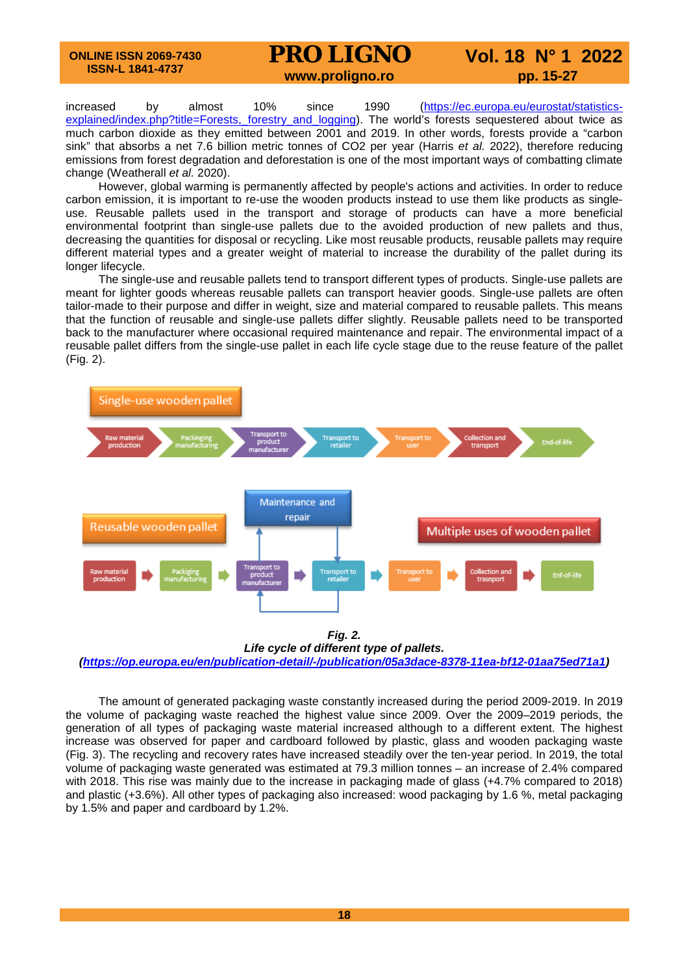## **PRO LIGNO** Vol. 18 N° 1 2022<br>www.proligno.ro pp. 15-27

increased by almost 10% since 1990 [\(https://ec.europa.eu/eurostat/statistics](https://ec.europa.eu/eurostat/statistics-explained/index.php?title=Forests,_forestry_and_logging)explained/index.php?title=Forests, forestry and logging). The world's forests sequestered about twice as much carbon dioxide as they emitted between 2001 and 2019. In other words, forests provide a "carbon sink" that absorbs a net 7.6 billion metric tonnes of CO2 per year (Harris *et al.* 2022), therefore reducing emissions from forest degradation and deforestation is one of the most important ways of combatting climate change (Weatherall *et al.* 2020).

However, global warming is permanently affected by people's actions and activities. In order to reduce carbon emission, it is important to re-use the wooden products instead to use them like products as singleuse. Reusable pallets used in the transport and storage of products can have a more beneficial environmental footprint than single-use pallets due to the avoided production of new pallets and thus, decreasing the quantities for disposal or recycling. Like most reusable products, reusable pallets may require different material types and a greater weight of material to increase the durability of the pallet during its longer lifecycle.

The single-use and reusable pallets tend to transport different types of products. Single-use pallets are meant for lighter goods whereas reusable pallets can transport heavier goods. Single-use pallets are often tailor-made to their purpose and differ in weight, size and material compared to reusable pallets. This means that the function of reusable and single-use pallets differ slightly. Reusable pallets need to be transported back to the manufacturer where occasional required maintenance and repair. The environmental impact of a reusable pallet differs from the single-use pallet in each life cycle stage due to the reuse feature of the pallet (Fig. 2).



*Fig. 2.*

*Life cycle of different type of pallets. [\(https://op.europa.eu/en/publication-detail/-/publication/05a3dace-8378-11ea-bf12-01aa75ed71a1\)](https://op.europa.eu/en/publication-detail/-/publication/05a3dace-8378-11ea-bf12-01aa75ed71a1)*

The amount of generated packaging waste constantly increased during the period 2009-2019. In 2019 the volume of packaging waste reached the highest value since 2009. Over the 2009–2019 periods, the generation of all types of packaging waste material increased although to a different extent. The highest increase was observed for paper and cardboard followed by plastic, glass and wooden packaging waste (Fig. 3). The recycling and recovery rates have increased steadily over the ten-year period. In 2019, the total volume of packaging waste generated was estimated at 79.3 million tonnes – an increase of 2.4% compared with 2018. This rise was mainly due to the increase in packaging made of glass (+4.7% compared to 2018) and plastic (+3.6%). All other types of packaging also increased: wood packaging by 1.6 %, metal packaging by 1.5% and paper and cardboard by 1.2%.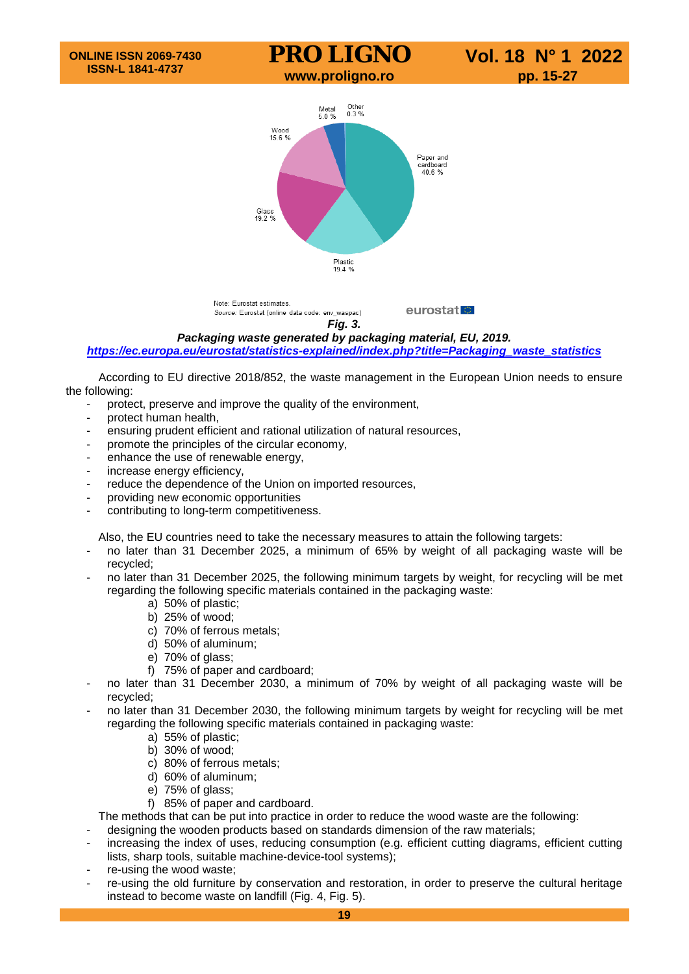

*Fig. 3.*

*Packaging waste generated by packaging material, EU, 2019.*

*[https://ec.europa.eu/eurostat/statistics-explained/index.php?title=Packaging\\_waste\\_statistics](https://ec.europa.eu/eurostat/statistics-explained/index.php?title=Packaging_waste_statistics)*

According to EU directive 2018/852, the waste management in the European Union needs to ensure the following:

- protect, preserve and improve the quality of the environment,
- protect human health,
- ensuring prudent efficient and rational utilization of natural resources,
- promote the principles of the circular economy,
- enhance the use of renewable energy,
- increase energy efficiency,
- reduce the dependence of the Union on imported resources,
- providing new economic opportunities
- contributing to long-term competitiveness.

Also, the EU countries need to take the necessary measures to attain the following targets:

- no later than 31 December 2025, a minimum of 65% by weight of all packaging waste will be recycled;
- no later than 31 December 2025, the following minimum targets by weight, for recycling will be met regarding the following specific materials contained in the packaging waste:
	- a) 50% of plastic;
	- b) 25% of wood;
	- c) 70% of ferrous metals;
	- d) 50% of aluminum;
	- e) 70% of glass;
	- f) 75% of paper and cardboard;
- no later than 31 December 2030, a minimum of 70% by weight of all packaging waste will be recycled;
- no later than 31 December 2030, the following minimum targets by weight for recycling will be met regarding the following specific materials contained in packaging waste:
	- a) 55% of plastic;
	- b) 30% of wood;
	- c) 80% of ferrous metals;
	- d) 60% of aluminum;
	- e) 75% of glass;
	- f) 85% of paper and cardboard.

The methods that can be put into practice in order to reduce the wood waste are the following:

- designing the wooden products based on standards dimension of the raw materials;
- increasing the index of uses, reducing consumption (e.g. efficient cutting diagrams, efficient cutting lists, sharp tools, suitable machine-device-tool systems);
- re-using the wood waste;
- re-using the old furniture by conservation and restoration, in order to preserve the cultural heritage instead to become waste on landfill (Fig. 4, Fig. 5).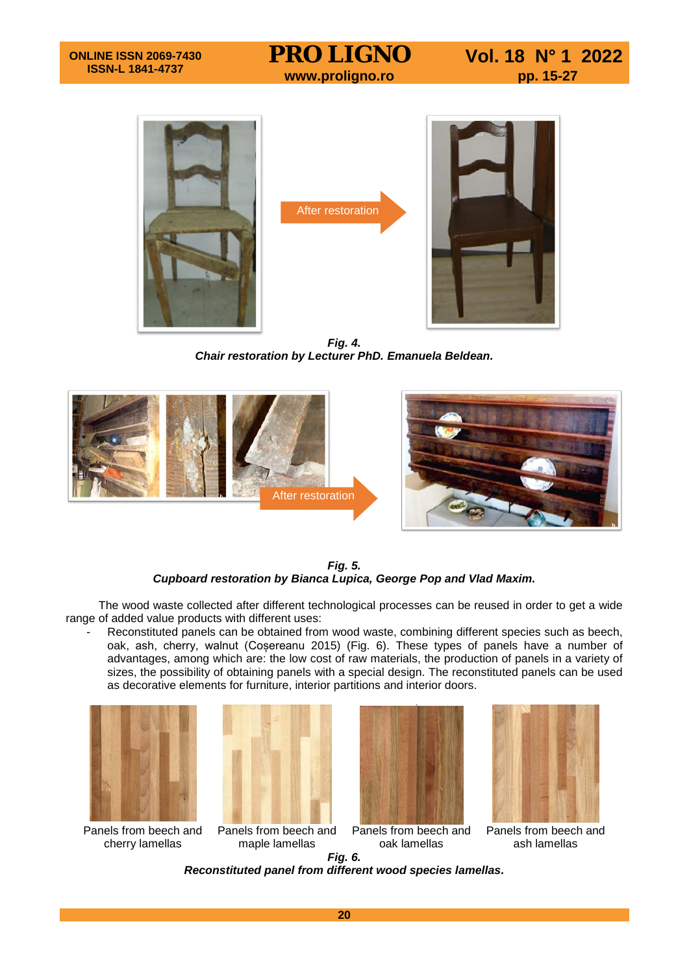





*Fig. 4. Chair restoration by Lecturer PhD. Emanuela Beldean.*



*Fig. 5. Cupboard restoration by Bianca Lupica, George Pop and Vlad Maxim.*

The wood waste collected after different technological processes can be reused in order to get a wide range of added value products with different uses:

Reconstituted panels can be obtained from wood waste, combining different species such as beech, oak, ash, cherry, walnut (Coșereanu 2015) (Fig. 6). These types of panels have a number of advantages, among which are: the low cost of raw materials, the production of panels in a variety of sizes, the possibility of obtaining panels with a special design. The reconstituted panels can be used as decorative elements for furniture, interior partitions and interior doors.



Panels from beech and cherry lamellas







Panels from beech and maple lamellas Panels from beech and oak lamellas Panels from beech and ash lamellas *Fig. 6.*

*Reconstituted panel from different wood species lamellas.*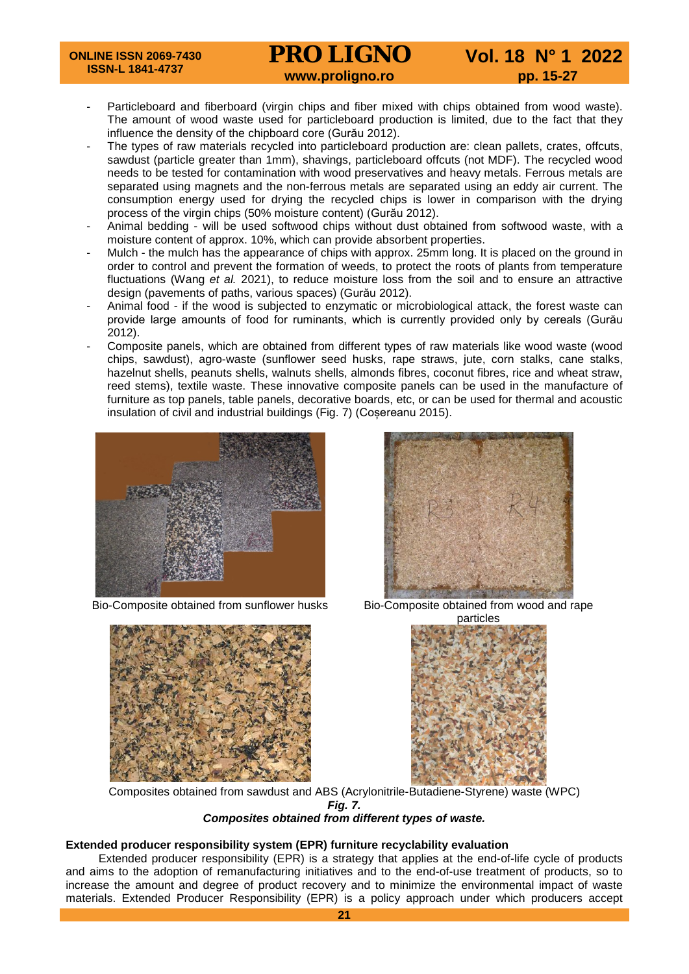# **PRO LIGNO** Vol. 18 N° 1 2022<br>www.proligno.ro pp. 15-27

- Particleboard and fiberboard (virgin chips and fiber mixed with chips obtained from wood waste). The amount of wood waste used for particleboard production is limited, due to the fact that they influence the density of the chipboard core (Gurău 2012).
- The types of raw materials recycled into particleboard production are: clean pallets, crates, offcuts, sawdust (particle greater than 1mm), shavings, particleboard offcuts (not MDF). The recycled wood needs to be tested for contamination with wood preservatives and heavy metals. Ferrous metals are separated using magnets and the non-ferrous metals are separated using an eddy air current. The consumption energy used for drying the recycled chips is lower in comparison with the drying process of the virgin chips (50% moisture content) (Gurău 2012).
- Animal bedding will be used softwood chips without dust obtained from softwood waste, with a moisture content of approx. 10%, which can provide absorbent properties.
- Mulch the mulch has the appearance of chips with approx. 25mm long. It is placed on the ground in order to control and prevent the formation of weeds, to protect the roots of plants from temperature fluctuations (Wang *et al.* 2021), to reduce moisture loss from the soil and to ensure an attractive design (pavements of paths, various spaces) (Gurău 2012).
- Animal food if the wood is subjected to enzymatic or microbiological attack, the forest waste can provide large amounts of food for ruminants, which is currently provided only by cereals (Gurău 2012).
- Composite panels, which are obtained from different types of raw materials like wood waste (wood chips, sawdust), agro-waste (sunflower seed husks, rape straws, jute, corn stalks, cane stalks, hazelnut shells, peanuts shells, walnuts shells, almonds fibres, coconut fibres, rice and wheat straw, reed stems), textile waste. These innovative composite panels can be used in the manufacture of furniture as top panels, table panels, decorative boards, etc, or can be used for thermal and acoustic insulation of civil and industrial buildings (Fig. 7) (Coșereanu 2015).



Bio-Composite obtained from sunflower husks Bio-Composite obtained from wood and rape







Composites obtained from sawdust and ABS (Acrylonitrile-Butadiene-Styrene) waste (WPC) *Fig. 7. Composites obtained from different types of waste.*

## **Extended producer responsibility system (EPR) furniture recyclability evaluation**

Extended producer responsibility (EPR) is a strategy that applies at the end-of-life cycle of products and aims to the adoption of remanufacturing initiatives and to the end-of-use treatment of products, so to increase the amount and degree of product recovery and to minimize the environmental impact of waste materials. Extended Producer Responsibility (EPR) is a policy approach under which producers accept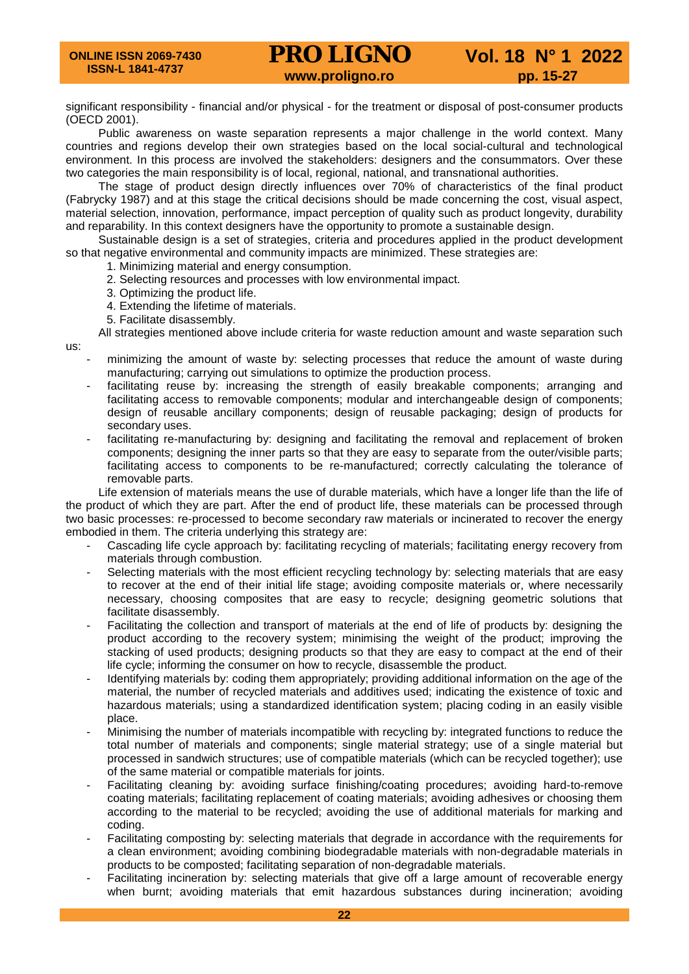## **PRO LIGNO** Vol. 18 N° 1 2022<br>www.proligno.ro pp. 15-27

significant responsibility - financial and/or physical - for the treatment or disposal of post-consumer products (OECD 2001).

Public awareness on waste separation represents a major challenge in the world context. Many countries and regions develop their own strategies based on the local social-cultural and technological environment. In this process are involved the stakeholders: designers and the consummators. Over these two categories the main responsibility is of local, regional, national, and transnational authorities.

The stage of product design directly influences over 70% of characteristics of the final product (Fabrycky 1987) and at this stage the critical decisions should be made concerning the cost, visual aspect, material selection, innovation, performance, impact perception of quality such as product longevity, durability and reparability. In this context designers have the opportunity to promote a sustainable design.

Sustainable design is a set of strategies, criteria and procedures applied in the product development so that negative environmental and community impacts are minimized. These strategies are:

1. Minimizing material and energy consumption.

- 2. Selecting resources and processes with low environmental impact.
- 3. Optimizing the product life.
- 4. Extending the lifetime of materials.
- 5. Facilitate disassembly.

us:

All strategies mentioned above include criteria for waste reduction amount and waste separation such

- minimizing the amount of waste by: selecting processes that reduce the amount of waste during manufacturing; carrying out simulations to optimize the production process.
- facilitating reuse by: increasing the strength of easily breakable components; arranging and facilitating access to removable components; modular and interchangeable design of components; design of reusable ancillary components; design of reusable packaging; design of products for secondary uses.
- facilitating re-manufacturing by: designing and facilitating the removal and replacement of broken components; designing the inner parts so that they are easy to separate from the outer/visible parts; facilitating access to components to be re-manufactured; correctly calculating the tolerance of removable parts.

Life extension of materials means the use of durable materials, which have a longer life than the life of the product of which they are part. After the end of product life, these materials can be processed through two basic processes: re-processed to become secondary raw materials or incinerated to recover the energy embodied in them. The criteria underlying this strategy are:

- Cascading life cycle approach by: facilitating recycling of materials; facilitating energy recovery from materials through combustion.
- Selecting materials with the most efficient recycling technology by: selecting materials that are easy to recover at the end of their initial life stage; avoiding composite materials or, where necessarily necessary, choosing composites that are easy to recycle; designing geometric solutions that facilitate disassembly.
- Facilitating the collection and transport of materials at the end of life of products by: designing the product according to the recovery system; minimising the weight of the product; improving the stacking of used products; designing products so that they are easy to compact at the end of their life cycle; informing the consumer on how to recycle, disassemble the product.
- Identifying materials by: coding them appropriately; providing additional information on the age of the material, the number of recycled materials and additives used; indicating the existence of toxic and hazardous materials; using a standardized identification system; placing coding in an easily visible place.
- Minimising the number of materials incompatible with recycling by: integrated functions to reduce the total number of materials and components; single material strategy; use of a single material but processed in sandwich structures; use of compatible materials (which can be recycled together); use of the same material or compatible materials for joints.
- Facilitating cleaning by: avoiding surface finishing/coating procedures; avoiding hard-to-remove coating materials; facilitating replacement of coating materials; avoiding adhesives or choosing them according to the material to be recycled; avoiding the use of additional materials for marking and coding.
- Facilitating composting by: selecting materials that degrade in accordance with the requirements for a clean environment; avoiding combining biodegradable materials with non-degradable materials in products to be composted; facilitating separation of non-degradable materials.
- Facilitating incineration by: selecting materials that give off a large amount of recoverable energy when burnt; avoiding materials that emit hazardous substances during incineration; avoiding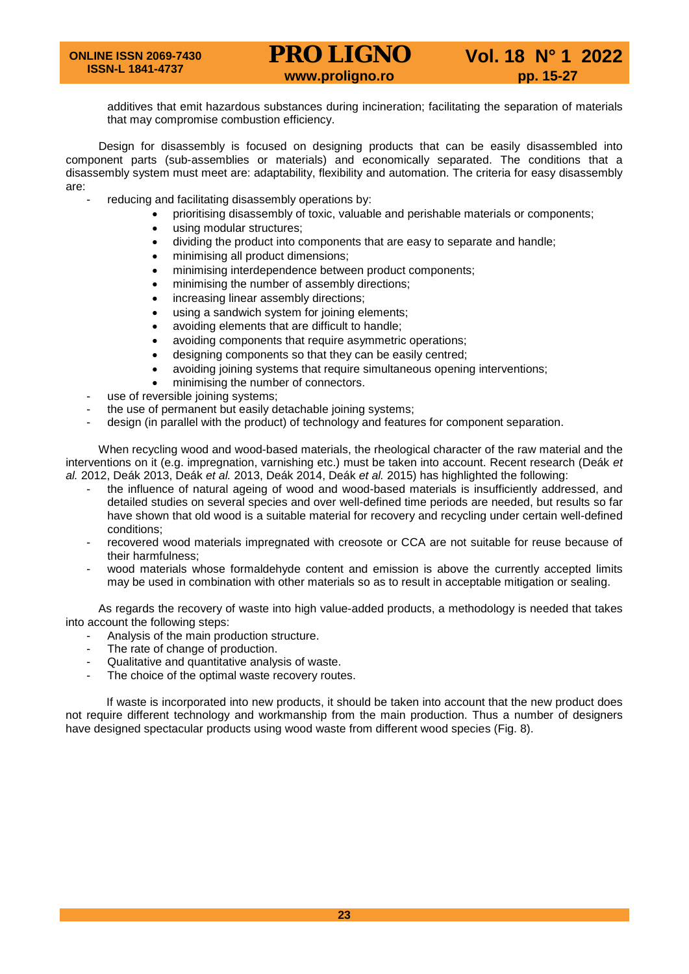additives that emit hazardous substances during incineration; facilitating the separation of materials that may compromise combustion efficiency.

Design for disassembly is focused on designing products that can be easily disassembled into component parts (sub-assemblies or materials) and economically separated. The conditions that a disassembly system must meet are: adaptability, flexibility and automation. The criteria for easy disassembly are:

- reducing and facilitating disassembly operations by:
	- prioritising disassembly of toxic, valuable and perishable materials or components;
	- using modular structures:
	- dividing the product into components that are easy to separate and handle;
	- minimising all product dimensions;
	- minimising interdependence between product components;
	- minimising the number of assembly directions;
	- increasing linear assembly directions;
	- using a sandwich system for joining elements;
	- avoiding elements that are difficult to handle;
	- avoiding components that require asymmetric operations;
	- designing components so that they can be easily centred;
	- avoiding joining systems that require simultaneous opening interventions;
	- minimising the number of connectors.
- use of reversible joining systems;
- the use of permanent but easily detachable joining systems;
- design (in parallel with the product) of technology and features for component separation.

When recycling wood and wood-based materials, the rheological character of the raw material and the interventions on it (e.g. impregnation, varnishing etc.) must be taken into account. Recent research (Deák *et al.* 2012, Deák 2013, Deák *et al.* 2013, Deák 2014, Deák *et al.* 2015) has highlighted the following:

- the influence of natural ageing of wood and wood-based materials is insufficiently addressed, and detailed studies on several species and over well-defined time periods are needed, but results so far have shown that old wood is a suitable material for recovery and recycling under certain well-defined conditions;
- recovered wood materials impregnated with creosote or CCA are not suitable for reuse because of their harmfulness;
- wood materials whose formaldehyde content and emission is above the currently accepted limits may be used in combination with other materials so as to result in acceptable mitigation or sealing.

As regards the recovery of waste into high value-added products, a methodology is needed that takes into account the following steps:

- Analysis of the main production structure.
- The rate of change of production.
- Qualitative and quantitative analysis of waste.
- The choice of the optimal waste recovery routes.

If waste is incorporated into new products, it should be taken into account that the new product does not require different technology and workmanship from the main production. Thus a number of designers have designed spectacular products using wood waste from different wood species (Fig. 8).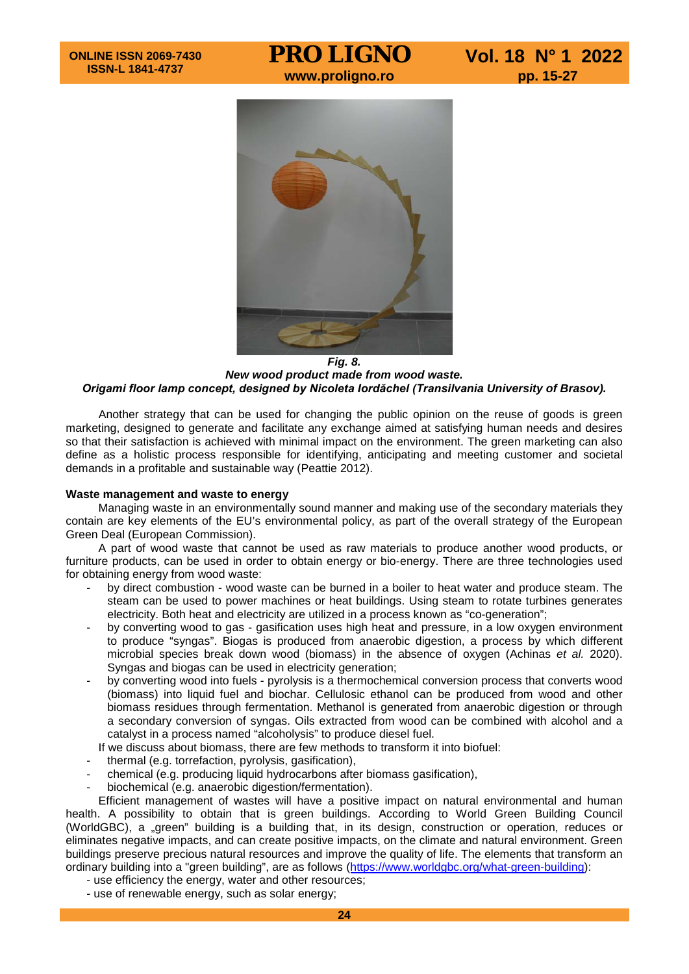

*Fig. 8. New wood product made from wood waste. Origami floor lamp concept, designed by Nicoleta Iordăchel (Transilvania University of Brasov).*

Another strategy that can be used for changing the public opinion on the reuse of goods is green marketing, designed to generate and facilitate any exchange aimed at satisfying human needs and desires so that their satisfaction is achieved with minimal impact on the environment. The green marketing can also define as a holistic process responsible for identifying, anticipating and meeting customer and societal demands in a profitable and sustainable way (Peattie 2012).

## **Waste management and waste to energy**

Managing waste in an environmentally sound manner and making use of the secondary materials they contain are key elements of the EU's environmental policy, as part of the overall strategy of the European Green Deal (European Commission).

A part of wood waste that cannot be used as raw materials to produce another wood products, or furniture products, can be used in order to obtain energy or bio-energy. There are three technologies used for obtaining energy from wood waste:

- by direct combustion wood waste can be burned in a boiler to heat water and produce steam. The steam can be used to power machines or heat buildings. Using steam to rotate turbines generates electricity. Both heat and electricity are utilized in a process known as "co-generation";
- by converting wood to gas gasification uses high heat and pressure, in a low oxygen environment to produce "syngas". Biogas is produced from anaerobic digestion, a process by which different microbial species break down wood (biomass) in the absence of oxygen (Achinas *et al.* 2020). Syngas and biogas can be used in electricity generation;
- by converting wood into fuels pyrolysis is a thermochemical conversion process that converts wood (biomass) into liquid fuel and biochar. Cellulosic ethanol can be produced from wood and other biomass residues through fermentation. Methanol is generated from anaerobic digestion or through a secondary conversion of syngas. Oils extracted from wood can be combined with alcohol and a catalyst in a process named "alcoholysis" to produce diesel fuel.
- If we discuss about biomass, there are few methods to transform it into biofuel:
- thermal (e.g. torrefaction, pyrolysis, gasification),
- chemical (e.g. producing liquid hydrocarbons after biomass gasification),
- biochemical (e.g. anaerobic digestion/fermentation).

Efficient management of wastes will have a positive impact on natural environmental and human health. A possibility to obtain that is green buildings. According to World Green Building Council (WorldGBC), a "green" building is a building that, in its design, construction or operation, reduces or eliminates negative impacts, and can create positive impacts, on the climate and natural environment. Green buildings preserve precious natural resources and improve the quality of life. The elements that transform an ordinary building into a "green building", are as follows [\(https://www.worldgbc.org/what-green-building\)](https://www.worldgbc.org/what-green-building):

- use efficiency the energy, water and other resources;
- use of renewable energy, such as solar energy;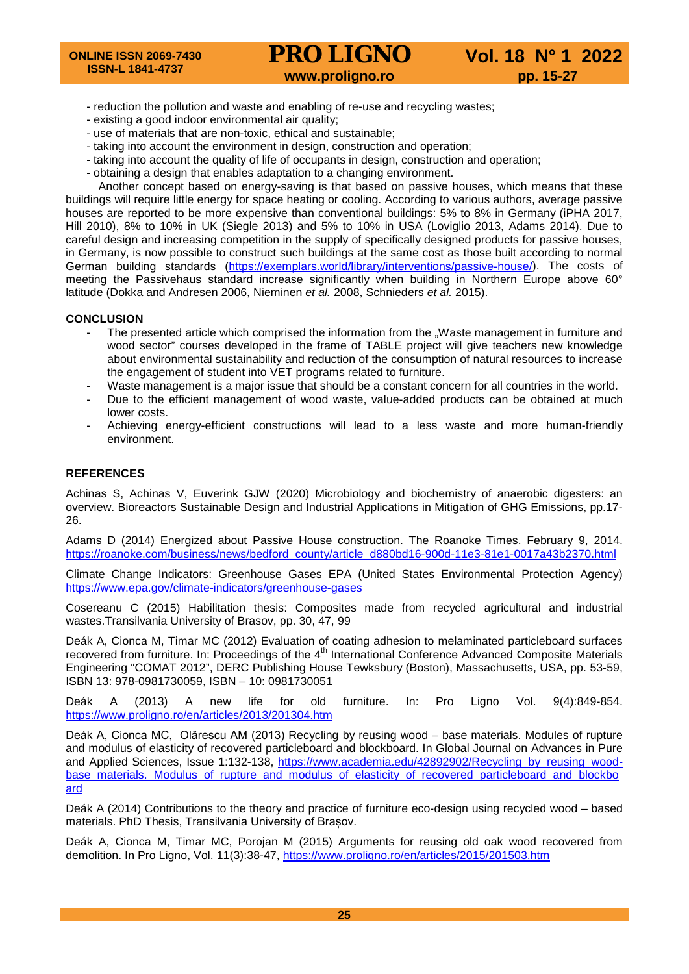- reduction the pollution and waste and enabling of re-use and recycling wastes;
- existing a good indoor environmental air quality;
- use of materials that are non-toxic, ethical and sustainable;
- taking into account the environment in design, construction and operation;
- taking into account the quality of life of occupants in design, construction and operation;
- obtaining a design that enables adaptation to a changing environment.

Another concept based on energy-saving is that based on passive houses, which means that these buildings will require little energy for space heating or cooling. According to various authors, average passive houses are reported to be more expensive than conventional buildings: 5% to 8% in Germany (iPHA 2017, Hill 2010), 8% to 10% in UK (Siegle 2013) and 5% to 10% in USA (Loviglio 2013, Adams 2014). Due to careful design and increasing competition in the supply of specifically designed products for passive houses, in Germany, is now possible to construct such buildings at the same cost as those built according to normal German building standards [\(https://exemplars.world/library/interventions/passive-house/\)](https://exemplars.world/library/interventions/passive-house/). The costs of meeting the Passivehaus standard increase significantly when building in Northern Europe above 60° latitude (Dokka and Andresen 2006, Nieminen *et al.* 2008, Schnieders *et al.* 2015).

## **CONCLUSION**

- The presented article which comprised the information from the "Waste management in furniture and wood sector" courses developed in the frame of TABLE project will give teachers new knowledge about environmental sustainability and reduction of the consumption of natural resources to increase the engagement of student into VET programs related to furniture.
- Waste management is a major issue that should be a constant concern for all countries in the world.
- Due to the efficient management of wood waste, value-added products can be obtained at much lower costs.
- Achieving energy-efficient constructions will lead to a less waste and more human-friendly environment.

## **REFERENCES**

Achinas S, Achinas V, Euverink GJW (2020) Microbiology and biochemistry of anaerobic digesters: an overview. Bioreactors Sustainable Design and Industrial Applications in Mitigation of GHG Emissions, pp.17- 26.

Adams D (2014) Energized about Passive House construction. The Roanoke Times. February 9, 2014. [https://roanoke.com/business/news/bedford\\_county/article\\_d880bd16-900d-11e3-81e1-0017a43b2370.html](https://roanoke.com/business/news/bedford_county/article_d880bd16-900d-11e3-81e1-0017a43b2370.html)

Climate Change Indicators: Greenhouse Gases EPA (United States Environmental Protection Agency) <https://www.epa.gov/climate-indicators/greenhouse-gases>

Cosereanu C (2015) Habilitation thesis: Composites made from recycled agricultural and industrial wastes.Transilvania University of Brasov, pp. 30, 47, 99

Deák A, Cionca M, Timar MC (2012) Evaluation of coating adhesion to melaminated particleboard surfaces recovered from furniture. In: Proceedings of the 4<sup>th</sup> International Conference Advanced Composite Materials Engineering "COMAT 2012", DERC Publishing House Tewksbury (Boston), Massachusetts, USA, pp. 53-59, ISBN 13: 978-0981730059, ISBN – 10: 0981730051

Deák A (2013) A new life for old furniture. In: Pro Ligno Vol. 9(4):849-854. <https://www.proligno.ro/en/articles/2013/201304.htm>

Deák A, Cionca MC, Olărescu AM (2013) Recycling by reusing wood – base materials. Modules of rupture and modulus of elasticity of recovered particleboard and blockboard. In Global Journal on Advances in Pure and Applied Sciences, Issue 1:132-138, https://www.academia.edu/42892902/Recycling by reusing woodbase materials. Modulus of rupture and modulus of elasticity of recovered particleboard and blockbo [ard](https://www.academia.edu/42892902/Recycling_by_reusing_wood-base_materials._Modulus_of_rupture_and_modulus_of_elasticity_of_recovered_particleboard_and_blockboard)

Deák A (2014) Contributions to the theory and practice of furniture eco-design using recycled wood – based materials. PhD Thesis, Transilvania University of Brașov.

Deák A, Cionca M, Timar MC, Porojan M (2015) Arguments for reusing old oak wood recovered from demolition. In Pro Ligno, Vol. 11(3):38-47,<https://www.proligno.ro/en/articles/2015/201503.htm>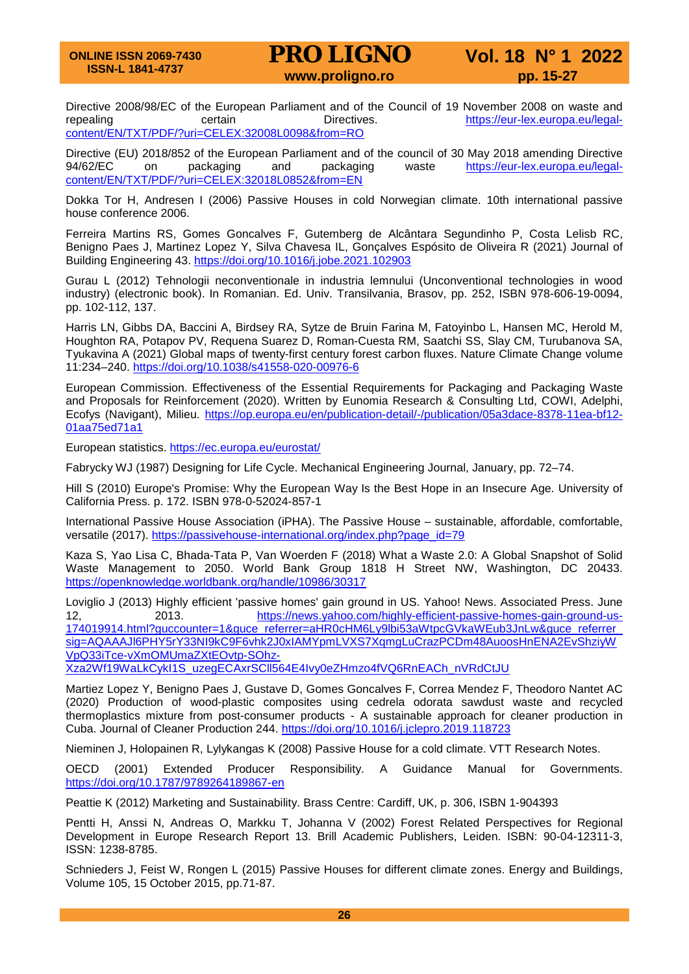Directive 2008/98/EC of the European Parliament and of the Council of 19 November 2008 on waste and<br>repealing certain Directives. bittps://eur-lex.europa.eu/legal[https://eur-lex.europa.eu/legal](https://eur-lex.europa.eu/legal-content/EN/TXT/PDF/?uri=CELEX:32008L0098&from=RO)[content/EN/TXT/PDF/?uri=CELEX:32008L0098&from=RO](https://eur-lex.europa.eu/legal-content/EN/TXT/PDF/?uri=CELEX:32008L0098&from=RO)

Directive (EU) 2018/852 of the European Parliament and of the council of 30 May 2018 amending Directive<br>94/62/EC on packaging and packaging waste https://eur-lex.europa.eu/legalon packaging and packaging waste [https://eur-lex.europa.eu/legal](https://eur-lex.europa.eu/legal-content/EN/TXT/PDF/?uri=CELEX:32018L0852&from=EN)[content/EN/TXT/PDF/?uri=CELEX:32018L0852&from=EN](https://eur-lex.europa.eu/legal-content/EN/TXT/PDF/?uri=CELEX:32018L0852&from=EN)

Dokka Tor H, Andresen I (2006) Passive Houses in cold Norwegian climate. 10th international passive house conference 2006.

Ferreira Martins RS, Gomes Goncalves F, Gutemberg de Alcântara Segundinho P, Costa Lelisb RC, Benigno Paes J, Martinez Lopez Y, Silva Chavesa IL, Gonçalves Espósito de Oliveira R (2021) Journal of Building Engineering 43.<https://doi.org/10.1016/j.jobe.2021.102903>

Gurau L (2012) Tehnologii neconventionale in industria lemnului (Unconventional technologies in wood industry) (electronic book). In Romanian. Ed. Univ. Transilvania, Brasov, pp. 252, ISBN 978-606-19-0094, pp. 102-112, 137.

Harris LN, Gibbs DA, Baccini A, Birdsey RA, Sytze de Bruin Farina M, Fatoyinbo L, Hansen MC, Herold M, Houghton RA, Potapov PV, Requena Suarez D, Roman-Cuesta RM, Saatchi SS, Slay CM, Turubanova SA, Tyukavina A (2021) Global maps of twenty-first century forest carbon fluxes. Nature Climate Change volume 11:234–240.<https://doi.org/10.1038/s41558-020-00976-6>

European Commission. Effectiveness of the Essential Requirements for Packaging and Packaging Waste and Proposals for Reinforcement (2020). Written by Eunomia Research & Consulting Ltd, COWI, Adelphi, Ecofys (Navigant), Milieu. [https://op.europa.eu/en/publication-detail/-/publication/05a3dace-8378-11ea-bf12-](https://op.europa.eu/en/publication-detail/-/publication/05a3dace-8378-11ea-bf12-01aa75ed71a1) [01aa75ed71a1](https://op.europa.eu/en/publication-detail/-/publication/05a3dace-8378-11ea-bf12-01aa75ed71a1)

European statistics.<https://ec.europa.eu/eurostat/>

Fabrycky WJ (1987) Designing for Life Cycle. Mechanical Engineering Journal, January, pp. 72–74.

Hill S (2010) Europe's Promise: Why the European Way Is the Best Hope in an Insecure Age. University of California Press. p. 172. ISBN 978-0-52024-857-1

International Passive House Association (iPHA). The Passive House – sustainable, affordable, comfortable, versatile (2017). [https://passivehouse-international.org/index.php?page\\_id=79](https://passivehouse-international.org/index.php?page_id=79)

Kaza S, Yao Lisa C, Bhada-Tata P, Van Woerden F (2018) What a Waste 2.0: A Global Snapshot of Solid Waste Management to 2050. World Bank Group 1818 H Street NW, Washington, DC 20433. <https://openknowledge.worldbank.org/handle/10986/30317>

Loviglio J (2013) Highly efficient 'passive homes' gain ground in US. Yahoo! News. Associated Press. June 12, 2013. [https://news.yahoo.com/highly-efficient-passive-homes-gain-ground-us-](https://news.yahoo.com/highly-efficient-passive-homes-gain-ground-us-174019914.html?guccounter=1&guce_referrer=aHR0cHM6Ly9lbi53aWtpcGVkaWEub3JnLw&guce_referrer_sig=AQAAAJl6PHY5rY33NI9kC9F6vhk2J0xIAMYpmLVXS7XqmgLuCrazPCDm48AuoosHnENA2EvShziyWVpQ33iTce-vXmOMUmaZXtEOvtp-SOhz-Xza2Wf19WaLkCykI1S_uzegECAxrSCll564E4Ivy0eZHmzo4fVQ6RnEACh_nVRdCtJU)[174019914.html?guccounter=1&guce\\_referrer=aHR0cHM6Ly9lbi53aWtpcGVkaWEub3JnLw&guce\\_referrer\\_](https://news.yahoo.com/highly-efficient-passive-homes-gain-ground-us-174019914.html?guccounter=1&guce_referrer=aHR0cHM6Ly9lbi53aWtpcGVkaWEub3JnLw&guce_referrer_sig=AQAAAJl6PHY5rY33NI9kC9F6vhk2J0xIAMYpmLVXS7XqmgLuCrazPCDm48AuoosHnENA2EvShziyWVpQ33iTce-vXmOMUmaZXtEOvtp-SOhz-Xza2Wf19WaLkCykI1S_uzegECAxrSCll564E4Ivy0eZHmzo4fVQ6RnEACh_nVRdCtJU) [sig=AQAAAJl6PHY5rY33NI9kC9F6vhk2J0xIAMYpmLVXS7XqmgLuCrazPCDm48AuoosHnENA2EvShziyW](https://news.yahoo.com/highly-efficient-passive-homes-gain-ground-us-174019914.html?guccounter=1&guce_referrer=aHR0cHM6Ly9lbi53aWtpcGVkaWEub3JnLw&guce_referrer_sig=AQAAAJl6PHY5rY33NI9kC9F6vhk2J0xIAMYpmLVXS7XqmgLuCrazPCDm48AuoosHnENA2EvShziyWVpQ33iTce-vXmOMUmaZXtEOvtp-SOhz-Xza2Wf19WaLkCykI1S_uzegECAxrSCll564E4Ivy0eZHmzo4fVQ6RnEACh_nVRdCtJU) [VpQ33iTce-vXmOMUmaZXtEOvtp-SOhz-](https://news.yahoo.com/highly-efficient-passive-homes-gain-ground-us-174019914.html?guccounter=1&guce_referrer=aHR0cHM6Ly9lbi53aWtpcGVkaWEub3JnLw&guce_referrer_sig=AQAAAJl6PHY5rY33NI9kC9F6vhk2J0xIAMYpmLVXS7XqmgLuCrazPCDm48AuoosHnENA2EvShziyWVpQ33iTce-vXmOMUmaZXtEOvtp-SOhz-Xza2Wf19WaLkCykI1S_uzegECAxrSCll564E4Ivy0eZHmzo4fVQ6RnEACh_nVRdCtJU)

[Xza2Wf19WaLkCykI1S\\_uzegECAxrSCll564E4Ivy0eZHmzo4fVQ6RnEACh\\_nVRdCtJU](https://news.yahoo.com/highly-efficient-passive-homes-gain-ground-us-174019914.html?guccounter=1&guce_referrer=aHR0cHM6Ly9lbi53aWtpcGVkaWEub3JnLw&guce_referrer_sig=AQAAAJl6PHY5rY33NI9kC9F6vhk2J0xIAMYpmLVXS7XqmgLuCrazPCDm48AuoosHnENA2EvShziyWVpQ33iTce-vXmOMUmaZXtEOvtp-SOhz-Xza2Wf19WaLkCykI1S_uzegECAxrSCll564E4Ivy0eZHmzo4fVQ6RnEACh_nVRdCtJU)

Martiez Lopez Y, Benigno Paes J, Gustave D, Gomes Goncalves F, Correa Mendez F, Theodoro Nantet AC (2020) Production of wood-plastic composites using cedrela odorata sawdust waste and recycled thermoplastics mixture from post-consumer products - A sustainable approach for cleaner production in Cuba. Journal of Cleaner Production 244.<https://doi.org/10.1016/j.jclepro.2019.118723>

Nieminen J, Holopainen R, Lylykangas K (2008) Passive House for a cold climate. VTT Research Notes.

OECD (2001) Extended Producer Responsibility. A Guidance Manual for Governments. <https://doi.org/10.1787/9789264189867-en>

Peattie K (2012) Marketing and Sustainability. Brass Centre: Cardiff, UK, p. 306, ISBN 1-904393

Pentti H, Anssi N, Andreas O, Markku T, Johanna V (2002) Forest Related Perspectives for Regional Development in Europe Research Report 13. Brill Academic Publishers, Leiden. ISBN: 90-04-12311-3, ISSN: 1238-8785.

Schnieders J, Feist W, Rongen L (2015) Passive Houses for different climate zones. Energy and Buildings, Volume 105, 15 October 2015, pp.71-87.